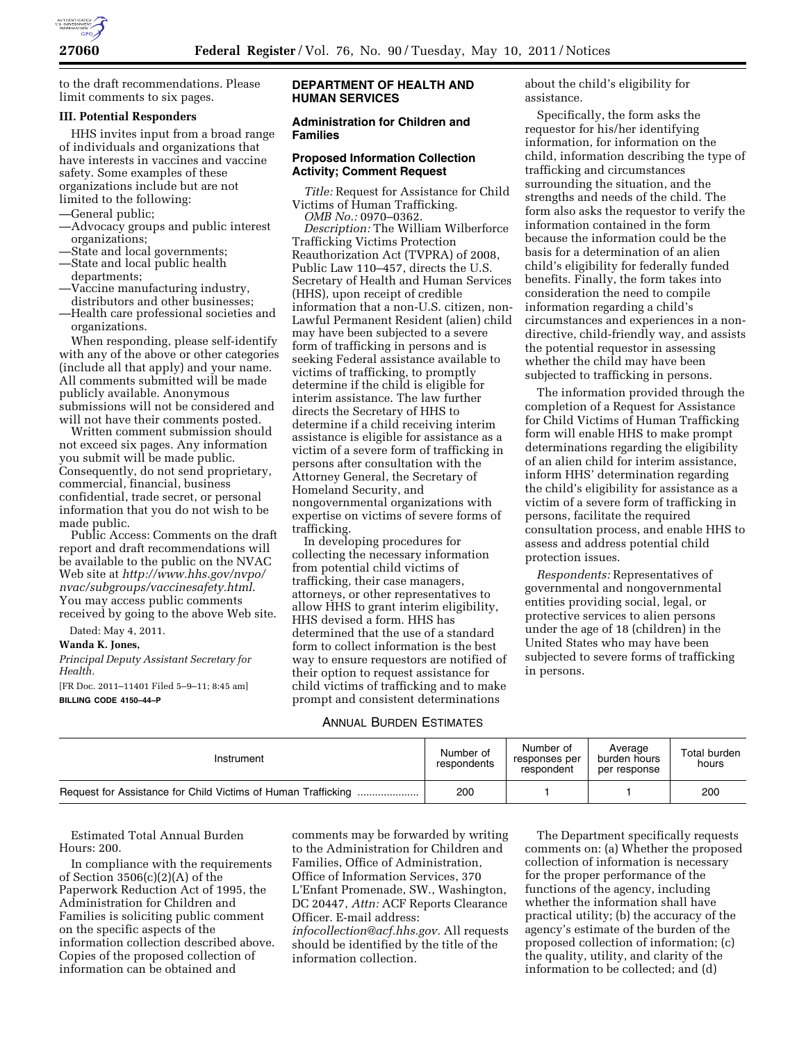

to the draft recommendations. Please limit comments to six pages.

### **III. Potential Responders**

HHS invites input from a broad range of individuals and organizations that have interests in vaccines and vaccine safety. Some examples of these organizations include but are not limited to the following:

- —General public;
- —Advocacy groups and public interest organizations;
- —State and local governments;
- —State and local public health departments;
- —Vaccine manufacturing industry, distributors and other businesses;
- —Health care professional societies and organizations.

When responding, please self-identify with any of the above or other categories (include all that apply) and your name. All comments submitted will be made publicly available. Anonymous submissions will not be considered and will not have their comments posted.

Written comment submission should not exceed six pages. Any information you submit will be made public. Consequently, do not send proprietary, commercial, financial, business confidential, trade secret, or personal information that you do not wish to be made public.

Public Access: Comments on the draft report and draft recommendations will be available to the public on the NVAC Web site at *[http://www.hhs.gov/nvpo/](http://www.hhs.gov/nvpo/nvac/subgroups/vaccinesafety.html)  [nvac/subgroups/vaccinesafety.html](http://www.hhs.gov/nvpo/nvac/subgroups/vaccinesafety.html)*. You may access public comments received by going to the above Web site.

Dated: May 4, 2011.

**Wanda K. Jones,** 

*Principal Deputy Assistant Secretary for Health.* 

[FR Doc. 2011–11401 Filed 5–9–11; 8:45 am] **BILLING CODE 4150–44–P** 

#### **DEPARTMENT OF HEALTH AND HUMAN SERVICES**

### **Administration for Children and Families**

### **Proposed Information Collection Activity; Comment Request**

*Title:* Request for Assistance for Child Victims of Human Trafficking. *OMB No.:* 0970–0362.

*Description:* The William Wilberforce Trafficking Victims Protection Reauthorization Act (TVPRA) of 2008, Public Law 110–457, directs the U.S. Secretary of Health and Human Services (HHS), upon receipt of credible information that a non-U.S. citizen, non-Lawful Permanent Resident (alien) child may have been subjected to a severe form of trafficking in persons and is seeking Federal assistance available to victims of trafficking, to promptly determine if the child is eligible for interim assistance. The law further directs the Secretary of HHS to determine if a child receiving interim assistance is eligible for assistance as a victim of a severe form of trafficking in persons after consultation with the Attorney General, the Secretary of Homeland Security, and nongovernmental organizations with expertise on victims of severe forms of trafficking.

In developing procedures for collecting the necessary information from potential child victims of trafficking, their case managers, attorneys, or other representatives to allow HHS to grant interim eligibility, HHS devised a form. HHS has determined that the use of a standard form to collect information is the best way to ensure requestors are notified of their option to request assistance for child victims of trafficking and to make prompt and consistent determinations

about the child's eligibility for assistance.

Specifically, the form asks the requestor for his/her identifying information, for information on the child, information describing the type of trafficking and circumstances surrounding the situation, and the strengths and needs of the child. The form also asks the requestor to verify the information contained in the form because the information could be the basis for a determination of an alien child's eligibility for federally funded benefits. Finally, the form takes into consideration the need to compile information regarding a child's circumstances and experiences in a nondirective, child-friendly way, and assists the potential requestor in assessing whether the child may have been subjected to trafficking in persons.

The information provided through the completion of a Request for Assistance for Child Victims of Human Trafficking form will enable HHS to make prompt determinations regarding the eligibility of an alien child for interim assistance, inform HHS' determination regarding the child's eligibility for assistance as a victim of a severe form of trafficking in persons, facilitate the required consultation process, and enable HHS to assess and address potential child protection issues.

*Respondents:* Representatives of governmental and nongovernmental entities providing social, legal, or protective services to alien persons under the age of 18 (children) in the United States who may have been subjected to severe forms of trafficking in persons.

# ANNUAL BURDEN ESTIMATES

| Instrument                                                    | Number of<br>respondents | Number of<br>responses per<br>respondent | Average<br>burden hours<br>per response | Total burden<br>hours |
|---------------------------------------------------------------|--------------------------|------------------------------------------|-----------------------------------------|-----------------------|
| Request for Assistance for Child Victims of Human Trafficking | 200                      |                                          |                                         | 200                   |

Estimated Total Annual Burden Hours: 200.

In compliance with the requirements of Section 3506(c)(2)(A) of the Paperwork Reduction Act of 1995, the Administration for Children and Families is soliciting public comment on the specific aspects of the information collection described above. Copies of the proposed collection of information can be obtained and

comments may be forwarded by writing to the Administration for Children and Families, Office of Administration, Office of Information Services, 370 L'Enfant Promenade, SW., Washington, DC 20447, *Attn:* ACF Reports Clearance Officer. E-mail address: *[infocollection@acf.hhs.gov.](mailto:infocollection@acf.hhs.gov)* All requests should be identified by the title of the information collection.

The Department specifically requests comments on: (a) Whether the proposed collection of information is necessary for the proper performance of the functions of the agency, including whether the information shall have practical utility; (b) the accuracy of the agency's estimate of the burden of the proposed collection of information; (c) the quality, utility, and clarity of the information to be collected; and (d)